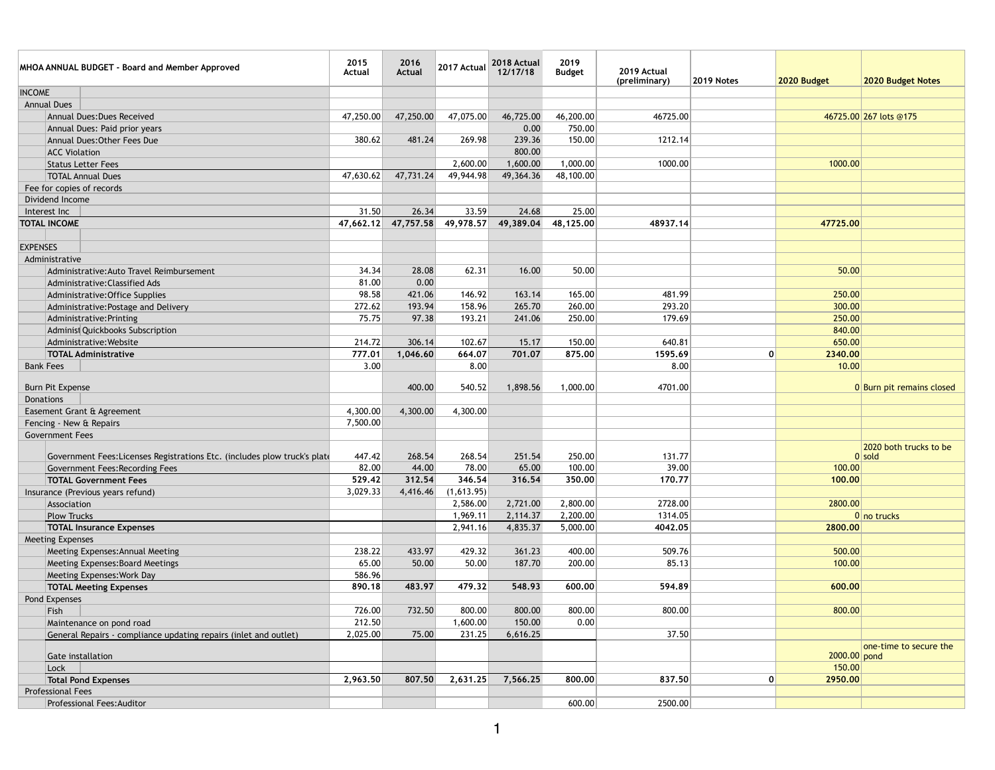| MHOA ANNUAL BUDGET - Board and Member Approved                            | 2015<br><b>Actual</b> | 2016<br><b>Actual</b> | 2017 Actual | 2018 Actual<br>12/17/18 | 2019<br><b>Budget</b> | 2019 Actual<br>(preliminary) | <b>2019 Notes</b> | 2020 Budget  | 2020 Budget Notes         |
|---------------------------------------------------------------------------|-----------------------|-----------------------|-------------|-------------------------|-----------------------|------------------------------|-------------------|--------------|---------------------------|
| <b>INCOME</b>                                                             |                       |                       |             |                         |                       |                              |                   |              |                           |
| <b>Annual Dues</b>                                                        |                       |                       |             |                         |                       |                              |                   |              |                           |
| <b>Annual Dues: Dues Received</b>                                         | 47,250.00             | 47,250.00             | 47,075.00   | 46,725.00               | 46,200.00             | 46725.00                     |                   |              | 46725.00 267 lots @175    |
| Annual Dues: Paid prior years                                             |                       |                       |             | 0.00                    | 750.00                |                              |                   |              |                           |
| Annual Dues: Other Fees Due                                               | 380.62                | 481.24                | 269.98      | 239.36                  | 150.00                | 1212.14                      |                   |              |                           |
| <b>ACC Violation</b>                                                      |                       |                       |             | 800.00                  |                       |                              |                   |              |                           |
| <b>Status Letter Fees</b>                                                 |                       |                       | 2,600.00    | 1,600.00                | 1,000.00              | 1000.00                      |                   | 1000.00      |                           |
| <b>TOTAL Annual Dues</b>                                                  | 47,630.62             | 47,731.24             | 49,944.98   | 49,364.36               | 48,100.00             |                              |                   |              |                           |
| Fee for copies of records                                                 |                       |                       |             |                         |                       |                              |                   |              |                           |
| Dividend Income                                                           |                       |                       |             |                         |                       |                              |                   |              |                           |
| Interest Inc                                                              | 31.50                 | 26.34                 | 33.59       | 24.68                   | 25.00                 |                              |                   |              |                           |
| <b>TOTAL INCOME</b>                                                       | 47,662.12             | 47,757.58             | 49,978.57   | 49,389.04               | 48,125.00             | 48937.14                     |                   | 47725.00     |                           |
|                                                                           |                       |                       |             |                         |                       |                              |                   |              |                           |
| <b>EXPENSES</b>                                                           |                       |                       |             |                         |                       |                              |                   |              |                           |
| Administrative                                                            |                       |                       |             |                         |                       |                              |                   |              |                           |
| Administrative: Auto Travel Reimbursement                                 | 34.34                 | 28.08                 | 62.31       | 16.00                   | 50.00                 |                              |                   | 50.00        |                           |
| Administrative: Classified Ads                                            | 81.00                 | 0.00                  |             |                         |                       |                              |                   |              |                           |
| Administrative: Office Supplies                                           | 98.58                 | 421.06                | 146.92      | 163.14                  | 165.00                | 481.99                       |                   | 250.00       |                           |
| Administrative: Postage and Delivery                                      | 272.62                | 193.94                | 158.96      | 265.70                  | 260.00                | 293.20                       |                   | 300.00       |                           |
| Administrative: Printing                                                  | 75.75                 | 97.38                 | 193.21      | 241.06                  | 250.00                | 179.69                       |                   | 250.00       |                           |
| Administ Quickbooks Subscription                                          |                       |                       |             |                         |                       |                              |                   | 840.00       |                           |
| Administrative: Website                                                   | 214.72                | 306.14                | 102.67      | 15.17                   | 150.00                | 640.81                       |                   | 650.00       |                           |
| <b>TOTAL Administrative</b>                                               | 777.01                | 1,046.60              | 664.07      | 701.07                  | 875.00                | 1595.69                      | 0                 | 2340.00      |                           |
| <b>Bank Fees</b>                                                          | 3.00                  |                       | 8.00        |                         |                       | 8.00                         |                   | 10.00        |                           |
|                                                                           |                       |                       |             |                         |                       |                              |                   |              |                           |
| <b>Burn Pit Expense</b>                                                   |                       | 400.00                | 540.52      | 1,898.56                | 1,000.00              | 4701.00                      |                   |              | 0 Burn pit remains closed |
| <b>Donations</b>                                                          |                       |                       |             |                         |                       |                              |                   |              |                           |
| Easement Grant & Agreement                                                | 4,300.00              | 4,300.00              | 4,300.00    |                         |                       |                              |                   |              |                           |
| Fencing - New & Repairs                                                   | 7,500.00              |                       |             |                         |                       |                              |                   |              |                           |
| <b>Government Fees</b>                                                    |                       |                       |             |                         |                       |                              |                   |              |                           |
|                                                                           |                       |                       |             |                         |                       |                              |                   |              | 2020 both trucks to be    |
| Government Fees: Licenses Registrations Etc. (includes plow truck's plate | 447.42                | 268.54                | 268.54      | 251.54                  | 250.00                | 131.77                       |                   |              | $0$ sold                  |
| <b>Government Fees: Recording Fees</b>                                    | 82.00                 | 44.00                 | 78.00       | 65.00                   | 100.00                | 39.00                        |                   | 100.00       |                           |
| <b>TOTAL Government Fees</b>                                              | 529.42                | 312.54                | 346.54      | 316.54                  | 350.00                | 170.77                       |                   | 100.00       |                           |
| Insurance (Previous years refund)                                         | 3,029.33              | 4,416.46              | (1,613.95)  |                         |                       |                              |                   |              |                           |
| Association                                                               |                       |                       | 2,586.00    | 2,721.00                | 2,800.00              | 2728.00                      |                   | 2800.00      |                           |
| <b>Plow Trucks</b>                                                        |                       |                       | 1,969.11    | 2,114.37                | 2,200.00              | 1314.05                      |                   |              | $0 no$ trucks             |
| <b>TOTAL Insurance Expenses</b>                                           |                       |                       | 2,941.16    | 4,835.37                | 5,000.00              | 4042.05                      |                   | 2800.00      |                           |
| <b>Meeting Expenses</b>                                                   |                       |                       |             |                         |                       |                              |                   |              |                           |
| Meeting Expenses: Annual Meeting                                          | 238.22                | 433.97                | 429.32      | 361.23                  | 400.00                | 509.76                       |                   | 500.00       |                           |
| Meeting Expenses: Board Meetings                                          | 65.00                 | 50.00                 | 50.00       | 187.70                  | 200.00                | 85.13                        |                   | 100.00       |                           |
| Meeting Expenses: Work Day                                                | 586.96                |                       |             |                         |                       |                              |                   |              |                           |
| <b>TOTAL Meeting Expenses</b>                                             | 890.18                | 483.97                | 479.32      | 548.93                  | 600.00                | 594.89                       |                   | 600.00       |                           |
| Pond Expenses                                                             |                       |                       |             |                         |                       |                              |                   |              |                           |
| Fish                                                                      | 726.00                | 732.50                | 800.00      | 800.00                  | 800.00                | 800.00                       |                   | 800.00       |                           |
| Maintenance on pond road                                                  | 212.50                |                       | 1,600.00    | 150.00                  | 0.00                  |                              |                   |              |                           |
| General Repairs - compliance updating repairs (inlet and outlet)          | 2,025.00              | 75.00                 | 231.25      | 6,616.25                |                       | 37.50                        |                   |              |                           |
| Gate installation                                                         |                       |                       |             |                         |                       |                              |                   | 2000.00 pond | one-time to secure the    |
| Lock                                                                      |                       |                       |             |                         |                       |                              |                   | 150.00       |                           |
| <b>Total Pond Expenses</b>                                                | 2,963.50              | 807.50                | 2,631.25    | 7,566.25                | 800.00                | 837.50                       | 0                 | 2950.00      |                           |
| <b>Professional Fees</b>                                                  |                       |                       |             |                         |                       |                              |                   |              |                           |
| <b>Professional Fees: Auditor</b>                                         |                       |                       |             |                         | 600.00                | 2500.00                      |                   |              |                           |
|                                                                           |                       |                       |             |                         |                       |                              |                   |              |                           |